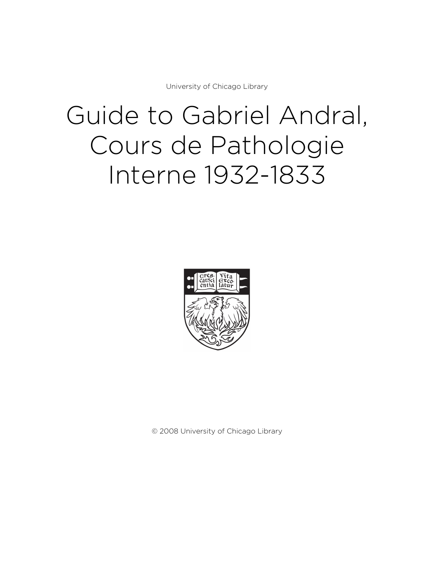University of Chicago Library

# Guide to Gabriel Andral, Cours de Pathologie Interne 1932-1833



© 2008 University of Chicago Library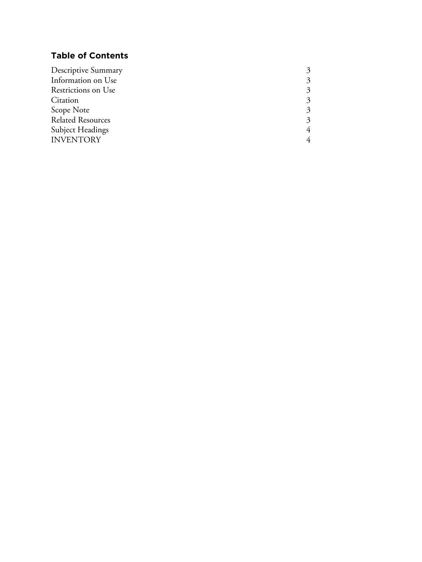## **Table of Contents**

| 3 |
|---|
|   |
|   |
|   |
|   |
|   |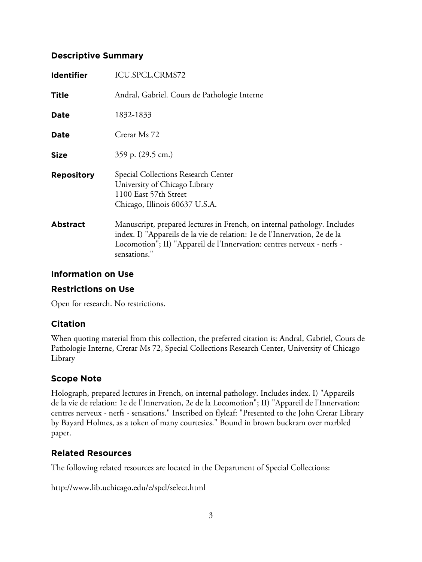#### **Descriptive Summary**

| <b>Identifier</b> | ICU.SPCL.CRMS72                                                                                                                                                                                                                                 |
|-------------------|-------------------------------------------------------------------------------------------------------------------------------------------------------------------------------------------------------------------------------------------------|
| Title             | Andral, Gabriel. Cours de Pathologie Interne                                                                                                                                                                                                    |
| <b>Date</b>       | 1832-1833                                                                                                                                                                                                                                       |
| <b>Date</b>       | Crerar Ms 72                                                                                                                                                                                                                                    |
| <b>Size</b>       | 359 p. (29.5 cm.)                                                                                                                                                                                                                               |
| <b>Repository</b> | Special Collections Research Center<br>University of Chicago Library<br>1100 East 57th Street<br>Chicago, Illinois 60637 U.S.A.                                                                                                                 |
| <b>Abstract</b>   | Manuscript, prepared lectures in French, on internal pathology. Includes<br>index. I) "Appareils de la vie de relation: 1e de l'Innervation, 2e de la<br>Locomotion"; II) "Appareil de l'Innervation: centres nerveux - nerfs -<br>sensations." |

#### **Information on Use**

#### **Restrictions on Use**

Open for research. No restrictions.

## **Citation**

When quoting material from this collection, the preferred citation is: Andral, Gabriel, Cours de Pathologie Interne, Crerar Ms 72, Special Collections Research Center, University of Chicago Library

## **Scope Note**

Holograph, prepared lectures in French, on internal pathology. Includes index. I) "Appareils de la vie de relation: 1e de l'Innervation, 2e de la Locomotion"; II) "Appareil de l'Innervation: centres nerveux - nerfs - sensations." Inscribed on flyleaf: "Presented to the John Crerar Library by Bayard Holmes, as a token of many courtesies." Bound in brown buckram over marbled paper.

## **Related Resources**

The following related resources are located in the Department of Special Collections:

http://www.lib.uchicago.edu/e/spcl/select.html